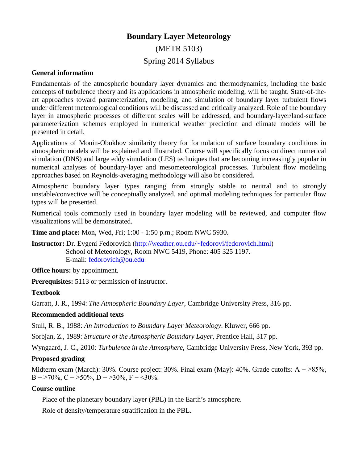# **Boundary Layer Meteorology**

### (METR 5103)

## Spring 2014 Syllabus

#### **General information**

Fundamentals of the atmospheric boundary layer dynamics and thermodynamics, including the basic concepts of turbulence theory and its applications in atmospheric modeling, will be taught. State-of-theart approaches toward parameterization, modeling, and simulation of boundary layer turbulent flows under different meteorological conditions will be discussed and critically analyzed. Role of the boundary layer in atmospheric processes of different scales will be addressed, and boundary-layer/land-surface parameterization schemes employed in numerical weather prediction and climate models will be presented in detail.

Applications of Monin-Obukhov similarity theory for formulation of surface boundary conditions in atmospheric models will be explained and illustrated. Course will specifically focus on direct numerical simulation (DNS) and large eddy simulation (LES) techniques that are becoming increasingly popular in numerical analyses of boundary-layer and mesometeorological processes. Turbulent flow modeling approaches based on Reynolds-averaging methodology will also be considered.

Atmospheric boundary layer types ranging from strongly stable to neutral and to strongly unstable/convective will be conceptually analyzed, and optimal modeling techniques for particular flow types will be presented.

Numerical tools commonly used in boundary layer modeling will be reviewed, and computer flow visualizations will be demonstrated.

**Time and place:** Mon, Wed, Fri; 1:00 - 1:50 p.m.; Room NWC 5930.

**Instructor:** Dr. Evgeni Fedorovich [\(http://weather.ou.edu/~fedorovi/fedorovich.html\)](http://weather.ou.edu/%7Efedorovi/fedorovich.html) School of Meteorology, Room NWC 5419, Phone: 405 325 1197. E-mail: [fedorovich@ou.edu](mailto:fedorovich@ou.edu)

**Office hours:** by appointment.

**Prerequisites:** 5113 or permission of instructor.

#### **Textbook**

Garratt, J. R., 1994: *The Atmospheric Boundary Layer*, Cambridge University Press, 316 pp.

#### **Recommended additional texts**

Stull, R. B., 1988: *An Introduction to Boundary Layer Meteorology*. Kluwer, 666 pp.

Sorbjan, Z., 1989: *Structure of the Atmospheric Boundary Layer*, Prentice Hall, 317 pp.

Wyngaard, J. C., 2010: *Turbulence in the Atmosphere*, Cambridge University Press, New York, 393 pp.

#### **Proposed grading**

Midterm exam (March): 30%. Course project: 30%. Final exam (May): 40%. Grade cutoffs: A  $- \geq 85\%$ , B –  $\geq$ 70%, C –  $\geq$ 50%, D –  $\geq$ 30%, F – <30%.

#### **Course outline**

Place of the planetary boundary layer (PBL) in the Earth's atmosphere.

Role of density/temperature stratification in the PBL.